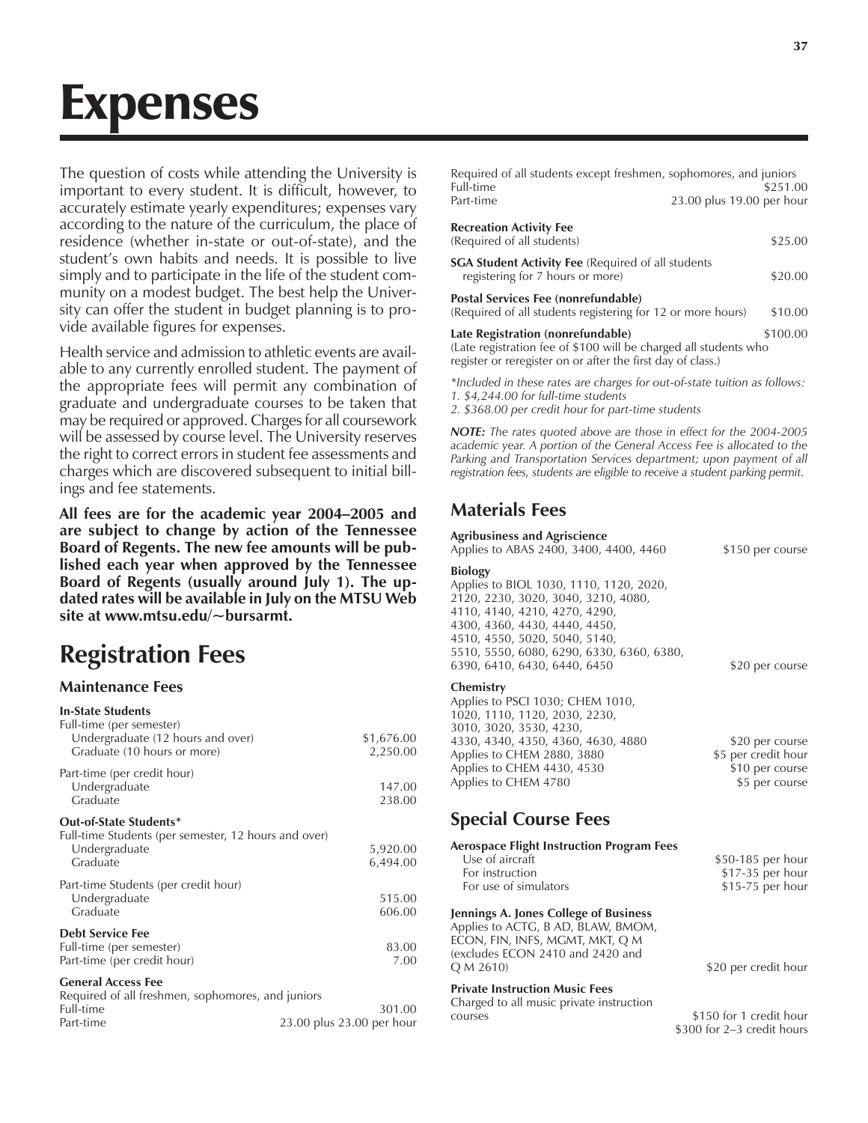# Expenses

The question of costs while attending the University is important to every student. It is difficult, however, to accurately estimate yearly expenditures; expenses vary according to the nature of the curriculum, the place of residence (whether in-state or out-of-state), and the student's own habits and needs. It is possible to live simply and to participate in the life of the student community on a modest budget. The best help the University can offer the student in budget planning is to provide available figures for expenses.

Health service and admission to athletic events are available to any currently enrolled student. The payment of the appropriate fees will permit any combination of graduate and undergraduate courses to be taken that may be required or approved. Charges for all coursework will be assessed by course level. The University reserves the right to correct errors in student fee assessments and charges which are discovered subsequent to initial billings and fee statements.

All fees are for the academic year 2004-2005 and **are subject to change by action of the Tennessee Board of Regents. The new fee amounts will be published each year when approved by the Tennessee Board of Regents (usually around July 1). The updated rates will be available in July on the MTSU Web site at www.mtsu.edu/~bursarmt.**

## **Registration Fees**

#### **Maintenance Fees**

| <b>In-State Students</b><br>Full-time (per semester)                           |                        |
|--------------------------------------------------------------------------------|------------------------|
| Undergraduate (12 hours and over)<br>Graduate (10 hours or more)               | \$1,676.00<br>2,250.00 |
| Part-time (per credit hour)                                                    |                        |
| Undergraduate<br>Graduate                                                      | 147.00<br>238.00       |
| Out-of-State Students*<br>Full-time Students (per semester, 12 hours and over) |                        |
| Undergraduate                                                                  | 5,920.00               |
| Graduate                                                                       | 6,494.00               |
| Part-time Students (per credit hour)                                           |                        |
| Undergraduate                                                                  | 515.00                 |
| Graduate                                                                       | 606.00                 |
| <b>Debt Service Fee</b>                                                        |                        |
| Full-time (per semester)                                                       | 83.00                  |
| Part-time (per credit hour)                                                    | 7.00                   |
| <b>General Access Fee</b><br>Required of all freshmen, sonhomores, and juniors |                        |

| Required of all freshmen, sophomores, and juniors |                           |
|---------------------------------------------------|---------------------------|
| Full-time                                         | 301.00                    |
| Part-time                                         | 23.00 plus 23.00 per hour |

| Required of all students except freshmen, sophomores, and juniors<br>Full-time                                | \$251.00                  |
|---------------------------------------------------------------------------------------------------------------|---------------------------|
| Part-time                                                                                                     | 23.00 plus 19.00 per hour |
| <b>Recreation Activity Fee</b><br>(Required of all students)                                                  | \$25.00                   |
| <b>SGA Student Activity Fee</b> (Required of all students<br>registering for 7 hours or more)                 | \$20.00                   |
| Postal Services Fee (nonrefundable)<br>(Required of all students registering for 12 or more hours)            | \$10.00                   |
| Late Registration (nonrefundable)<br>$\alpha$ at a registration fee of \$100 will be charged all students who | \$100.00                  |

(Late registration fee of \$100 will be charged all students who register or reregister on or after the first day of class.)

*\*Included in these rates are charges for out-of-state tuition as follows: 1. \$4,244.00 for full-time students*

*2. \$368.00 per credit hour for part-time students*

*NOTE: The rates quoted above are those in effect for the 2004-2005 academic year. A portion of the General Access Fee is allocated to the Parking and Transportation Services department; upon payment of all registration fees, students are eligible to receive a student parking permit.*

## **Materials Fees**

#### **Agribusiness and Agriscience**

| Applies to ABAS 2400, 3400, 4400, 4460    | \$150 per course    |
|-------------------------------------------|---------------------|
| <b>Biology</b>                            |                     |
| Applies to BIOL 1030, 1110, 1120, 2020,   |                     |
| 2120, 2230, 3020, 3040, 3210, 4080,       |                     |
| 4110, 4140, 4210, 4270, 4290,             |                     |
| 4300, 4360, 4430, 4440, 4450,             |                     |
| 4510, 4550, 5020, 5040, 5140,             |                     |
| 5510, 5550, 6080, 6290, 6330, 6360, 6380, |                     |
| 6390, 6410, 6430, 6440, 6450              | \$20 per course     |
| Chemistry                                 |                     |
| Applies to PSCI 1030; CHEM 1010,          |                     |
| 1020, 1110, 1120, 2030, 2230,             |                     |
| 3010, 3020, 3530, 4230,                   |                     |
| 4330, 4340, 4350, 4360, 4630, 4880        | \$20 per course     |
| Applies to CHEM 2880, 3880                | \$5 per credit hour |
| Applies to CHEM 4430, 4530                | \$10 per course     |
| Applies to CHEM 4780                      | \$5 per course      |
|                                           |                     |

## **Special Course Fees**

| Aerospace Flight Instruction Program Fees<br>Use of aircraft<br>For instruction<br>For use of simulators                                                        | \$50-185 per hour<br>\$17-35 per hour<br>\$15-75 per hour |
|-----------------------------------------------------------------------------------------------------------------------------------------------------------------|-----------------------------------------------------------|
| Jennings A. Jones College of Business<br>Applies to ACTG, B AD, BLAW, BMOM,<br>econ, fin, infs, mgmt, mkt, q m<br>(excludes ECON 2410 and 2420 and<br>Q M 2610) | \$20 per credit hour                                      |
| <b>Private Instruction Music Fees</b><br>Charged to all music private instruction<br>courses                                                                    | \$150 for 1 credit hour                                   |

\$300 for 2-3 credit hours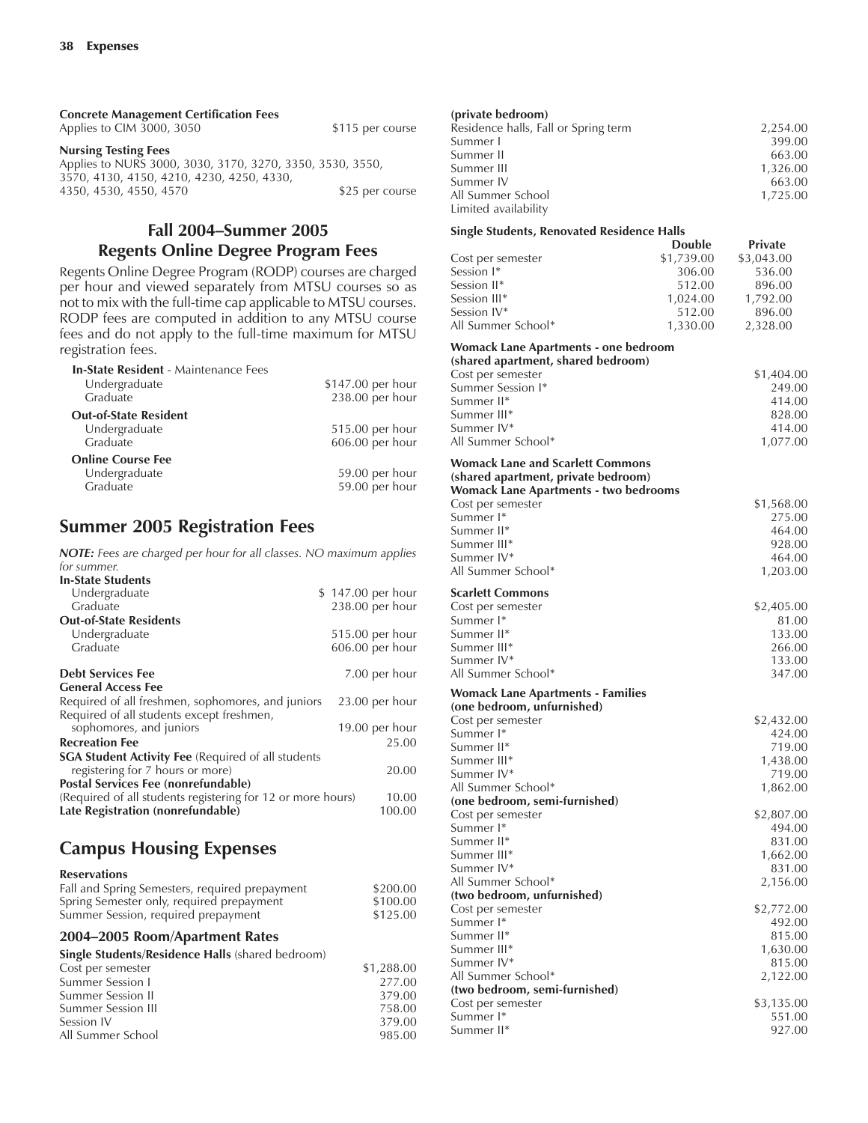| <b>Concrete Management Certification Fees</b>             |                  |
|-----------------------------------------------------------|------------------|
| Applies to CIM 3000, 3050                                 | \$115 per course |
| <b>Nursing Testing Fees</b>                               |                  |
| Applies to NURS 3000, 3030, 3170, 3270, 3350, 3530, 3550, |                  |
| 3570, 4130, 4150, 4210, 4230, 4250, 4330,                 |                  |
| 4350, 4530, 4550, 4570                                    | \$25 per course  |

#### **Fall 2004-Summer 2005 Regents Online Degree Program Fees**

Regents Online Degree Program (RODP) courses are charged per hour and viewed separately from MTSU courses so as not to mix with the full-time cap applicable to MTSU courses. RODP fees are computed in addition to any MTSU course fees and do not apply to the full-time maximum for MTSU registration fees.

| <b>In-State Resident - Maintenance Fees</b> |                   |
|---------------------------------------------|-------------------|
| Undergraduate                               | \$147.00 per hour |
| Graduate                                    | 238.00 per hour   |
| <b>Out-of-State Resident</b>                |                   |
| Undergraduate                               | 515.00 per hour   |
| Graduate                                    | 606.00 per hour   |
| <b>Online Course Fee</b>                    |                   |
| Undergraduate                               | 59.00 per hour    |
| Graduate                                    | 59.00 per hour    |

## **Summer 2005 Registration Fees**

*NOTE: Fees are charged per hour for all classes. NO maximum applies for summer.*

| \$147.00 per hour                                                    |
|----------------------------------------------------------------------|
|                                                                      |
|                                                                      |
| 238.00 per hour                                                      |
|                                                                      |
| 515.00 per hour                                                      |
| 606.00 per hour                                                      |
| 7.00 per hour                                                        |
|                                                                      |
| $23.00$ per hour                                                     |
|                                                                      |
| 19.00 per hour                                                       |
| 25.00                                                                |
|                                                                      |
| 20.00                                                                |
|                                                                      |
| (Required of all students registering for 12 or more hours)<br>10.00 |
| 100.00                                                               |
|                                                                      |

## **Campus Housing Expenses**

| <b>Reservations</b>                            |          |
|------------------------------------------------|----------|
| Fall and Spring Semesters, required prepayment | \$200.00 |
| Spring Semester only, required prepayment      | \$100.00 |
| Summer Session, required prepayment            | \$125.00 |

#### 2004-2005 Room/Apartment Rates

| <b>Single Students/Residence Halls (shared bedroom)</b> |            |
|---------------------------------------------------------|------------|
| Cost per semester                                       | \$1,288.00 |
| Summer Session I                                        | 277.00     |
| Summer Session II                                       | 379.00     |
| Summer Session III                                      | 758.00     |
| Session IV                                              | 379.00     |
| All Summer School                                       | 985.00     |

| (private bedroom)                    |          |
|--------------------------------------|----------|
| Residence halls, Fall or Spring term | 2,254.00 |
| Summer I                             | 399.00   |
| Summer II                            | 663.00   |
| Summer III                           | 1,326.00 |
| Summer IV                            | 663.00   |
| All Summer School                    | 1,725.00 |
| Limited availability                 |          |

#### **Single Students, Renovated Residence Halls**

| onigie otuaents, Kenovatea Kesiaente Fians |               |            |
|--------------------------------------------|---------------|------------|
|                                            | <b>Double</b> | Private    |
| Cost per semester                          | \$1,739.00    | \$3,043.00 |
| Session I*                                 | 306.00        | 536.00     |
| Session II*                                | 512.00        | 896.00     |
| Session III*                               | 1,024.00      | 1,792.00   |
| Session IV*                                | 512.00        | 896.00     |
| All Summer School*                         | 1,330.00      | 2,328.00   |
|                                            |               |            |
| Womack Lane Apartments - one bedroom       |               |            |
| (shared apartment, shared bedroom)         |               |            |
| Cost per semester                          |               | \$1,404.00 |
| Summer Session I*                          |               | 249.00     |
| Summer II*                                 |               | 414.00     |
| Summer III*                                |               | 828.00     |
| Summer IV*                                 |               | 414.00     |
| All Summer School*                         |               | 1,077.00   |
|                                            |               |            |
| Womack Lane and Scarlett Commons           |               |            |
| (shared apartment, private bedroom)        |               |            |
| Womack Lane Apartments - two bedrooms      |               |            |
| Cost per semester                          |               | \$1,568.00 |
| Summer I*                                  |               | 275.00     |
| Summer II*                                 |               | 464.00     |
| Summer III*                                |               | 928.00     |
|                                            |               |            |
| Summer IV*                                 |               | 464.00     |
| All Summer School*                         |               | 1,203.00   |
| <b>Scarlett Commons</b>                    |               |            |
| Cost per semester                          |               | \$2,405.00 |
| Summer I*                                  |               | 81.00      |
| Summer II*                                 |               | 133.00     |
| Summer III*                                |               |            |
|                                            |               | 266.00     |
| Summer IV*                                 |               | 133.00     |
| All Summer School*                         |               | 347.00     |
| <b>Womack Lane Apartments - Families</b>   |               |            |
| (one bedroom, unfurnished)                 |               |            |
| Cost per semester                          |               | \$2,432.00 |
| Summer I*                                  |               | 424.00     |
| Summer II*                                 |               | 719.00     |
| Summer III*                                |               | 1,438.00   |
| Summer IV*                                 |               | 719.00     |
| All Summer School*                         |               | 1,862.00   |
| (one bedroom, semi-furnished)              |               |            |
| Cost per semester                          |               | \$2,807.00 |
| Summer I*                                  |               | 494.00     |
|                                            |               |            |
| Summer II*                                 |               | 831.00     |
| Summer III*                                |               | 1,662.00   |
| Summer IV*                                 |               | 831.00     |
| All Summer School*                         |               | 2,156.00   |
| (two bedroom, unfurnished)                 |               |            |
| Cost per semester                          |               | \$2,772.00 |
| Summer I*                                  |               | 492.00     |
| Summer II*                                 |               | 815.00     |
| Summer III*                                |               | 1,630.00   |
| Summer IV*                                 |               | 815.00     |
| All Summer School*                         |               | 2,122.00   |
| (two bedroom, semi-furnished)              |               |            |
| Cost per semester                          |               | \$3,135.00 |
| Summer I*                                  |               | 551.00     |
| Summer II*                                 |               | 927.00     |
|                                            |               |            |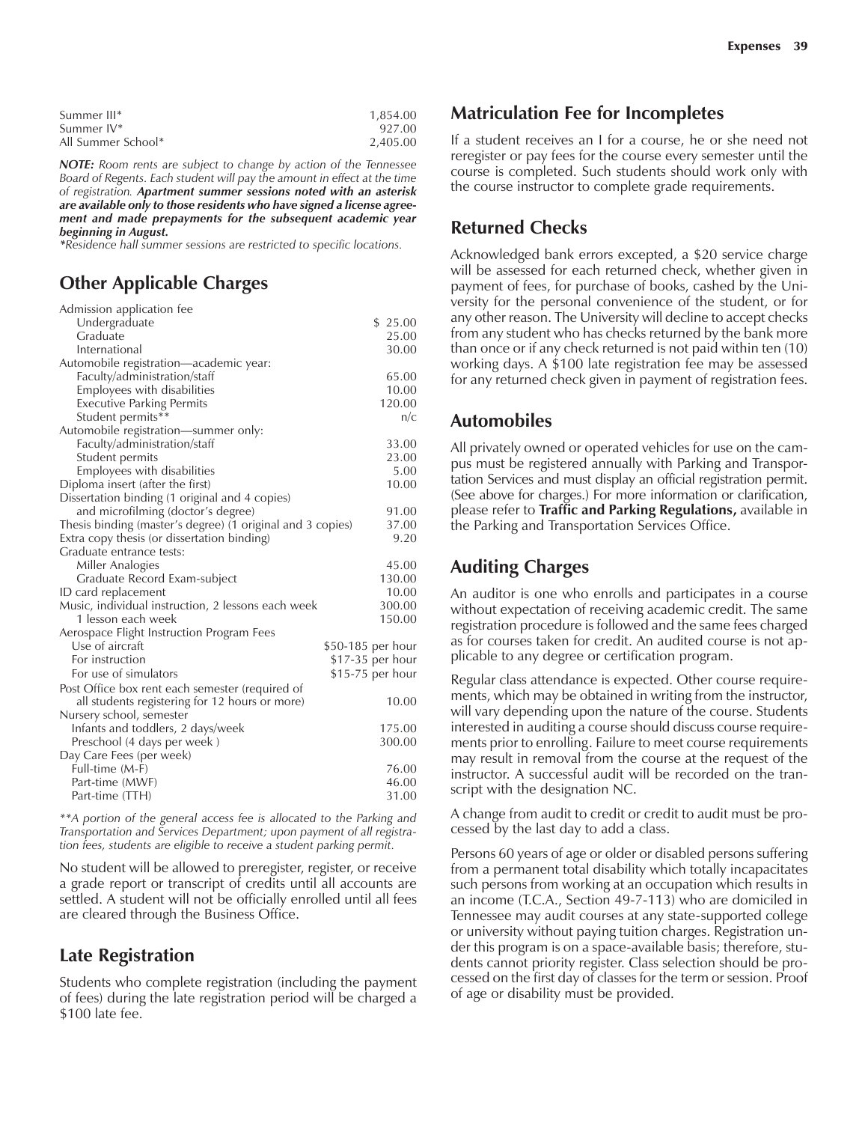| Summer III*        | 1.854.00 |
|--------------------|----------|
| Summer IV*         | 927.00   |
| All Summer School* | 2.405.00 |

*NOTE: Room rents are subject to change by action of the Tennessee Board of Regents. Each student will pay the amount in effect at the time of registration. Apartment summer sessions noted with an asterisk are available only to those residents who have signed a license agreement and made prepayments for the subsequent academic year beginning in August.*

*\*Residence hall summer sessions are restricted to specific locations.*

## **Other Applicable Charges**

| Admission application fee                                  |                   |
|------------------------------------------------------------|-------------------|
| Undergraduate                                              | \$25.00           |
| Graduate                                                   | 25.00             |
| International                                              | 30.00             |
| Automobile registration—academic year:                     |                   |
| Faculty/administration/staff                               | 65.00             |
| Employees with disabilities                                | 10.00             |
| <b>Executive Parking Permits</b>                           | 120.00            |
| Student permits**                                          | n/c               |
| Automobile registration—summer only:                       |                   |
| Faculty/administration/staff                               | 33.00             |
| Student permits                                            | 23.00             |
| Employees with disabilities                                | 5.00              |
| Diploma insert (after the first)                           | 10.00             |
| Dissertation binding (1 original and 4 copies)             |                   |
| and microfilming (doctor's degree)                         | 91.00             |
| Thesis binding (master's degree) (1 original and 3 copies) | 37.00             |
| Extra copy thesis (or dissertation binding)                | 9.20              |
| Graduate entrance tests:                                   |                   |
| Miller Analogies                                           | 45.00             |
| Graduate Record Exam-subject                               | 130.00            |
| ID card replacement                                        | 10.00             |
| Music, individual instruction, 2 lessons each week         | 300.00            |
| 1 lesson each week                                         | 150.00            |
| Aerospace Flight Instruction Program Fees                  |                   |
| Use of aircraft                                            | \$50-185 per hour |
| For instruction                                            | \$17-35 per hour  |
| For use of simulators                                      | \$15-75 per hour  |
| Post Office box rent each semester (required of            |                   |
| all students registering for 12 hours or more)             | 10.00             |
| Nursery school, semester                                   |                   |
| Infants and toddlers, 2 days/week                          | 175.00            |
| Preschool (4 days per week)                                | 300.00            |
| Day Care Fees (per week)                                   |                   |
| Full-time (M-F)                                            | 76.00             |
| Part-time (MWF)                                            | 46.00             |
| Part-time (TTH)                                            | 31.00             |
|                                                            |                   |

*\*\*A portion of the general access fee is allocated to the Parking and Transportation and Services Department; upon payment of all registration fees, students are eligible to receive a student parking permit.*

No student will be allowed to preregister, register, or receive a grade report or transcript of credits until all accounts are settled. A student will not be officially enrolled until all fees are cleared through the Business Office.

#### **Late Registration**

Students who complete registration (including the payment of fees) during the late registration period will be charged a \$100 late fee.

#### **Matriculation Fee for Incompletes**

If a student receives an I for a course, he or she need not reregister or pay fees for the course every semester until the course is completed. Such students should work only with the course instructor to complete grade requirements.

#### **Returned Checks**

Acknowledged bank errors excepted, a \$20 service charge will be assessed for each returned check, whether given in payment of fees, for purchase of books, cashed by the University for the personal convenience of the student, or for any other reason. The University will decline to accept checks from any student who has checks returned by the bank more than once or if any check returned is not paid within ten (10) working days. A \$100 late registration fee may be assessed for any returned check given in payment of registration fees.

#### **Automobiles**

All privately owned or operated vehicles for use on the campus must be registered annually with Parking and Transportation Services and must display an official registration permit. (See above for charges.) For more information or clarification, please refer to **Traffic and Parking Regulations,** available in the Parking and Transportation Services Office.

## **Auditing Charges**

An auditor is one who enrolls and participates in a course without expectation of receiving academic credit. The same registration procedure is followed and the same fees charged as for courses taken for credit. An audited course is not applicable to any degree or certification program.

Regular class attendance is expected. Other course requirements, which may be obtained in writing from the instructor, will vary depending upon the nature of the course. Students interested in auditing a course should discuss course requirements prior to enrolling. Failure to meet course requirements may result in removal from the course at the request of the instructor. A successful audit will be recorded on the transcript with the designation NC.

A change from audit to credit or credit to audit must be processed by the last day to add a class.

Persons 60 years of age or older or disabled persons suffering from a permanent total disability which totally incapacitates such persons from working at an occupation which results in an income (T.C.A., Section 49-7-113) who are domiciled in Tennessee may audit courses at any state-supported college or university without paying tuition charges. Registration under this program is on a space-available basis; therefore, students cannot priority register. Class selection should be processed on the first day of classes for the term or session. Proof of age or disability must be provided.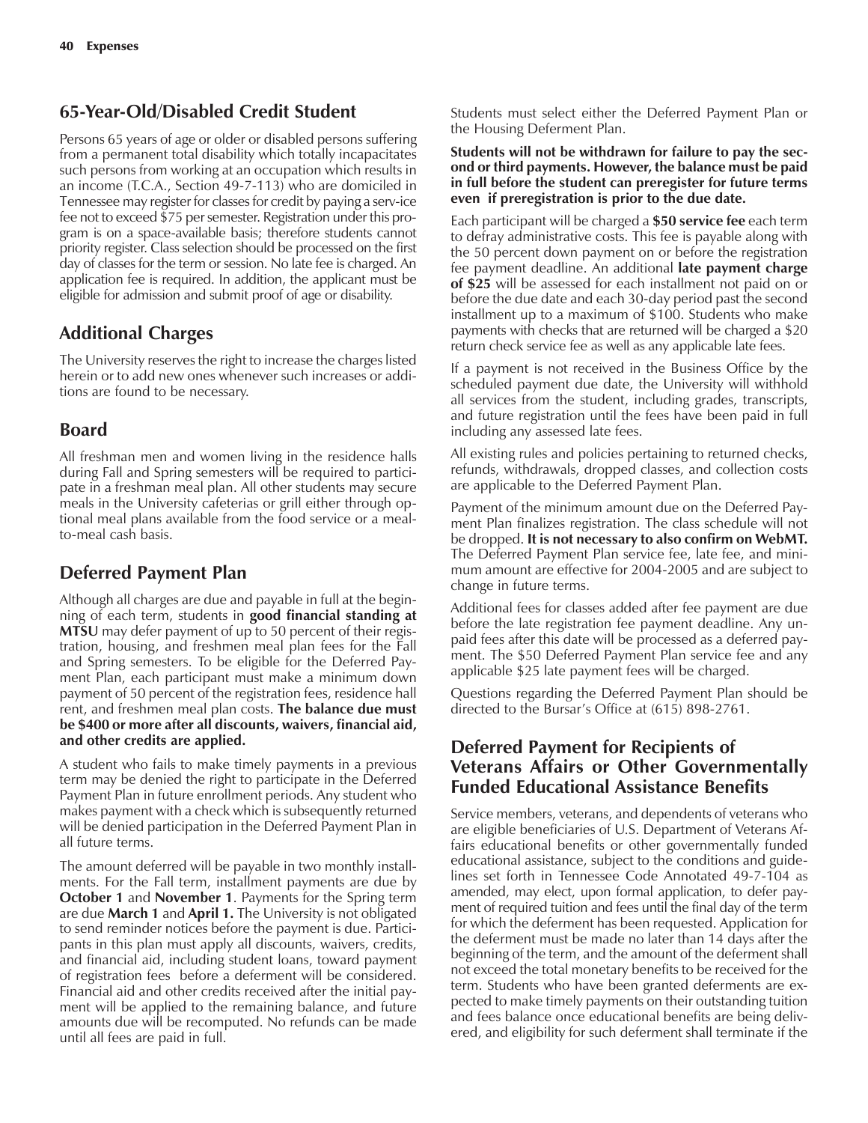## **65-Year-Old/Disabled Credit Student**

Persons 65 years of age or older or disabled persons suffering from a permanent total disability which totally incapacitates such persons from working at an occupation which results in an income (T.C.A., Section 49-7-113) who are domiciled in Tennessee may register for classes for credit by paying a serv-ice fee not to exceed \$75 per semester. Registration under this program is on a space-available basis; therefore students cannot priority register. Class selection should be processed on the first day of classes for the term or session. No late fee is charged. An application fee is required. In addition, the applicant must be eligible for admission and submit proof of age or disability.

## **Additional Charges**

The University reserves the right to increase the charges listed herein or to add new ones whenever such increases or additions are found to be necessary.

## **Board**

All freshman men and women living in the residence halls during Fall and Spring semesters will be required to participate in a freshman meal plan. All other students may secure meals in the University cafeterias or grill either through optional meal plans available from the food service or a mealto-meal cash basis.

## **Deferred Payment Plan**

Although all charges are due and payable in full at the beginning of each term, students in **good financial standing at MTSU** may defer payment of up to 50 percent of their registration, housing, and freshmen meal plan fees for the Fall and Spring semesters. To be eligible for the Deferred Payment Plan, each participant must make a minimum down payment of 50 percent of the registration fees, residence hall rent, and freshmen meal plan costs. **The balance due must be \$400 or more after all discounts, waivers, financial aid, and other credits are applied.**

A student who fails to make timely payments in a previous term may be denied the right to participate in the Deferred Payment Plan in future enrollment periods. Any student who makes payment with a check which is subsequently returned will be denied participation in the Deferred Payment Plan in all future terms.

The amount deferred will be payable in two monthly installments. For the Fall term, installment payments are due by **October 1** and **November 1**. Payments for the Spring term are due **March 1** and **April 1.** The University is not obligated to send reminder notices before the payment is due. Participants in this plan must apply all discounts, waivers, credits, and financial aid, including student loans, toward payment of registration fees before a deferment will be considered. Financial aid and other credits received after the initial payment will be applied to the remaining balance, and future amounts due will be recomputed. No refunds can be made until all fees are paid in full.

Students must select either the Deferred Payment Plan or the Housing Deferment Plan.

#### **Students will not be withdrawn for failure to pay the second or third payments. However, the balance must be paid in full before the student can preregister for future terms even if preregistration is prior to the due date.**

Each participant will be charged a **\$50 service fee** each term to defray administrative costs. This fee is payable along with the 50 percent down payment on or before the registration fee payment deadline. An additional **late payment charge of \$25** will be assessed for each installment not paid on or before the due date and each 30-day period past the second installment up to a maximum of \$100. Students who make payments with checks that are returned will be charged a \$20 return check service fee as well as any applicable late fees.

If a payment is not received in the Business Office by the scheduled payment due date, the University will withhold all services from the student, including grades, transcripts, and future registration until the fees have been paid in full including any assessed late fees.

All existing rules and policies pertaining to returned checks, refunds, withdrawals, dropped classes, and collection costs are applicable to the Deferred Payment Plan.

Payment of the minimum amount due on the Deferred Payment Plan finalizes registration. The class schedule will not be dropped. **It is not necessary to also confirm on WebMT.** The Deferred Payment Plan service fee, late fee, and minimum amount are effective for 2004-2005 and are subject to change in future terms.

Additional fees for classes added after fee payment are due before the late registration fee payment deadline. Any unpaid fees after this date will be processed as a deferred payment. The \$50 Deferred Payment Plan service fee and any applicable \$25 late payment fees will be charged.

Questions regarding the Deferred Payment Plan should be directed to the Bursar's Office at (615) 898-2761.

## **Deferred Payment for Recipients of Veterans Affairs or Other Governmentally Funded Educational Assistance Benefits**

Service members, veterans, and dependents of veterans who are eligible beneficiaries of U.S. Department of Veterans Affairs educational benefits or other governmentally funded educational assistance, subject to the conditions and guidelines set forth in Tennessee Code Annotated 49-7-104 as amended, may elect, upon formal application, to defer payment of required tuition and fees until the final day of the term for which the deferment has been requested. Application for the deferment must be made no later than 14 days after the beginning of the term, and the amount of the deferment shall not exceed the total monetary benefits to be received for the term. Students who have been granted deferments are expected to make timely payments on their outstanding tuition and fees balance once educational benefits are being delivered, and eligibility for such deferment shall terminate if the